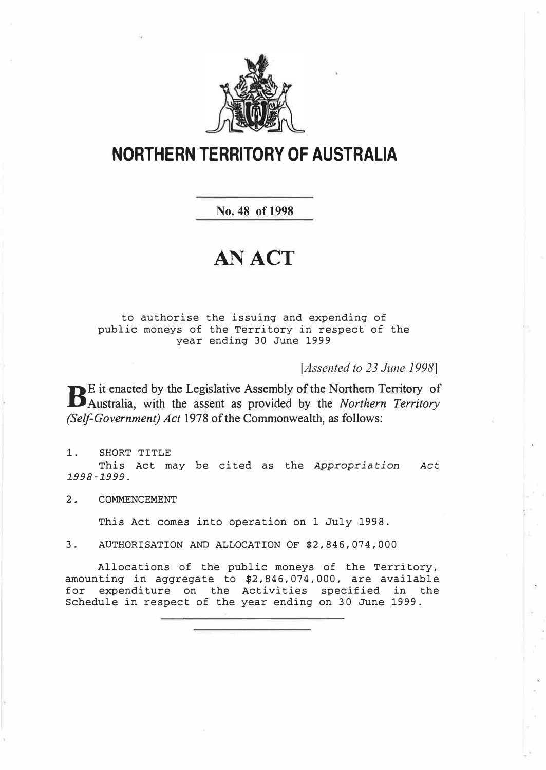

## **NORTHERN TERRITORY OF AUSTRALIA**

**No. 48 of 1998**

# **AN ACT**

to authorise the issuing and expending of public moneys of the Territory in respect of the year ending 30 June 1999

[*Assented to 23 June 1998*]

BE it enacted by the Legislative Assembly of the Northern Territory of Australia, with the assent as provided by the *Northern Territory* E it enacted by the Legislative Assembly of the Northern Territory of *(Self-Government) Act* 1978 of the Commonwealth, as follows:

1. SHORT TITLE This Act may be cited as the *Appropriation Act 1998-1999.* 

2. COMMENCEMENT

This Act comes into operation on 1 July 1998.

3. AUTHORISATION AND ALLOCATION OF \$2,846,074,000

Allocations of the public moneys of the Territory, amounting in aggregate to \$2,846,074,000, are available for expenditure on the Activities specified in the Schedule in respect of the year ending on 30 June 1999.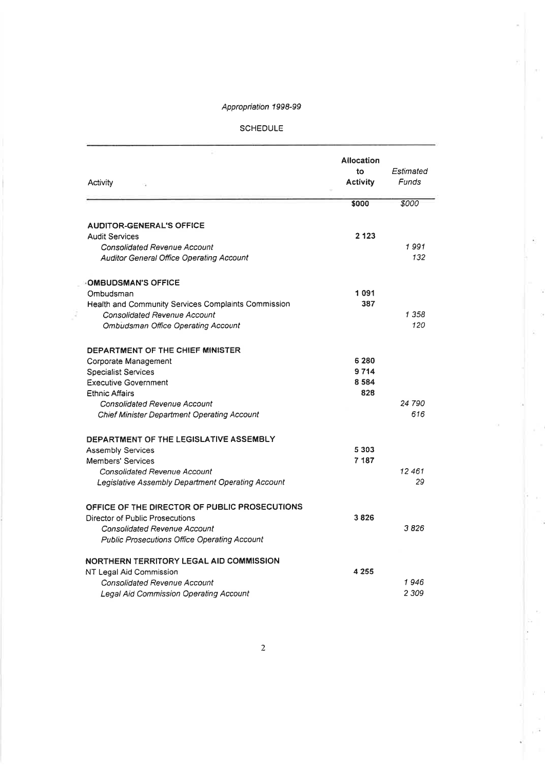×

ĵ

j.

#### **SCHEDULE**

| Activity                                            | Allocation<br>to<br><b>Activity</b> | Estimated<br>Funds |
|-----------------------------------------------------|-------------------------------------|--------------------|
|                                                     | \$000                               | \$000              |
| <b>AUDITOR-GENERAL'S OFFICE</b>                     |                                     |                    |
| <b>Audit Services</b>                               | 2 1 2 3                             |                    |
| <b>Consolidated Revenue Account</b>                 |                                     | 1991               |
| <b>Auditor General Office Operating Account</b>     |                                     | 132                |
| <b>OMBUDSMAN'S OFFICE</b>                           |                                     |                    |
| Ombudsman                                           | 1091                                |                    |
| Health and Community Services Complaints Commission | 387                                 |                    |
| Consolidated Revenue Account                        |                                     | 1 358              |
| <b>Ombudsman Office Operating Account</b>           |                                     | 120                |
| DEPARTMENT OF THE CHIEF MINISTER                    |                                     |                    |
| Corporate Management                                | 6 280                               |                    |
| <b>Specialist Services</b>                          | 9714                                |                    |
| <b>Executive Government</b>                         | 8584                                |                    |
| <b>Ethnic Affairs</b>                               | 828                                 |                    |
| <b>Consolidated Revenue Account</b>                 |                                     | 24 790             |
| <b>Chief Minister Department Operating Account</b>  |                                     | 616                |
| DEPARTMENT OF THE LEGISLATIVE ASSEMBLY              |                                     |                    |
| <b>Assembly Services</b>                            | 5 3 0 3                             |                    |
| <b>Members' Services</b>                            | 7 187                               |                    |
| Consolidated Revenue Account                        |                                     | 12461              |
| Legislative Assembly Department Operating Account   |                                     | 29                 |
| OFFICE OF THE DIRECTOR OF PUBLIC PROSECUTIONS       |                                     |                    |
| Director of Public Prosecutions                     | 3826                                |                    |
| <b>Consolidated Revenue Account</b>                 |                                     | 3826               |
| <b>Public Prosecutions Office Operating Account</b> |                                     |                    |
| NORTHERN TERRITORY LEGAL AID COMMISSION             |                                     |                    |
| NT Legal Aid Commission                             | 4 2 5 5                             |                    |
| <i><b>Consolidated Revenue Account</b></i>          |                                     | 1946               |
| Legal Aid Commission Operating Account              |                                     | 2 309              |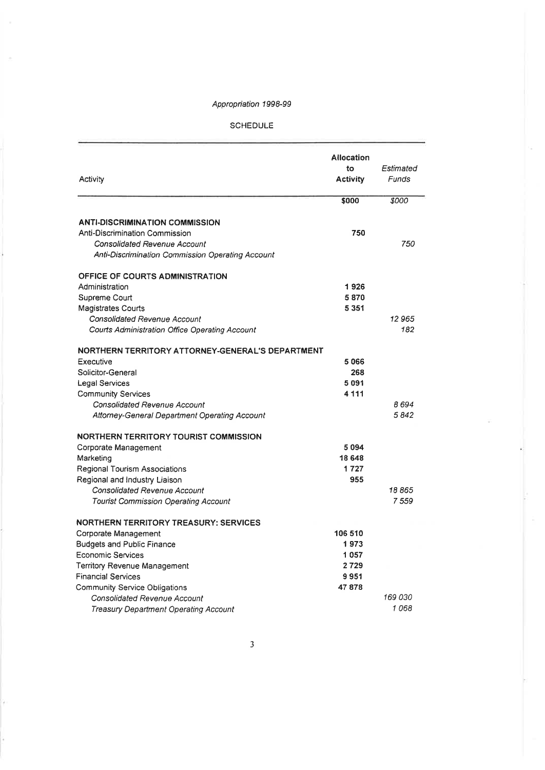$\sim$ 

**SCHEDULE** 

| Activity                                         | Allocation<br>to<br><b>Activity</b> | Estimated<br>Funds |
|--------------------------------------------------|-------------------------------------|--------------------|
|                                                  | \$000                               | \$000              |
| <b>ANTI-DISCRIMINATION COMMISSION</b>            |                                     |                    |
| Anti-Discrimination Commission                   | 750                                 |                    |
| <b>Consolidated Revenue Account</b>              |                                     | 750                |
| Anti-Discrimination Commission Operating Account |                                     |                    |
| <b>OFFICE OF COURTS ADMINISTRATION</b>           |                                     |                    |
| Administration                                   | 1926                                |                    |
| Supreme Court                                    | 5870                                |                    |
| <b>Magistrates Courts</b>                        | 5 3 5 1                             |                    |
| <b>Consolidated Revenue Account</b>              |                                     | 12 965             |
| Courts Administration Office Operating Account   |                                     | 182                |
| NORTHERN TERRITORY ATTORNEY-GENERAL'S DEPARTMENT |                                     |                    |
| Executive                                        | 5066                                |                    |
| Solicitor-General                                | 268                                 |                    |
| Legal Services                                   | 5091                                |                    |
| <b>Community Services</b>                        | 4 1 1 1                             |                    |
| <b>Consolidated Revenue Account</b>              |                                     | 8 694              |
| Attorney-General Department Operating Account    |                                     | 5842               |
| NORTHERN TERRITORY TOURIST COMMISSION            |                                     |                    |
| Corporate Management                             | 5094                                |                    |
| Marketing                                        | 18 648                              |                    |
| Regional Tourism Associations                    | 1727                                |                    |
| Regional and Industry Liaison                    | 955                                 |                    |
| Consolidated Revenue Account                     |                                     | 18 865             |
| <b>Tourist Commission Operating Account</b>      |                                     | 7559               |
| <b>NORTHERN TERRITORY TREASURY: SERVICES</b>     |                                     |                    |
| Corporate Management                             | 106 510                             |                    |
| <b>Budgets and Public Finance</b>                | 1973                                |                    |
| Economic Services                                | 1057                                |                    |
| Territory Revenue Management                     | 2729                                |                    |
| <b>Financial Services</b>                        | 9951                                |                    |
| <b>Community Service Obligations</b>             | 47878                               |                    |
| <b>Consolidated Revenue Account</b>              |                                     | 169 030            |
| Treasury Department Operating Account            |                                     | 1068               |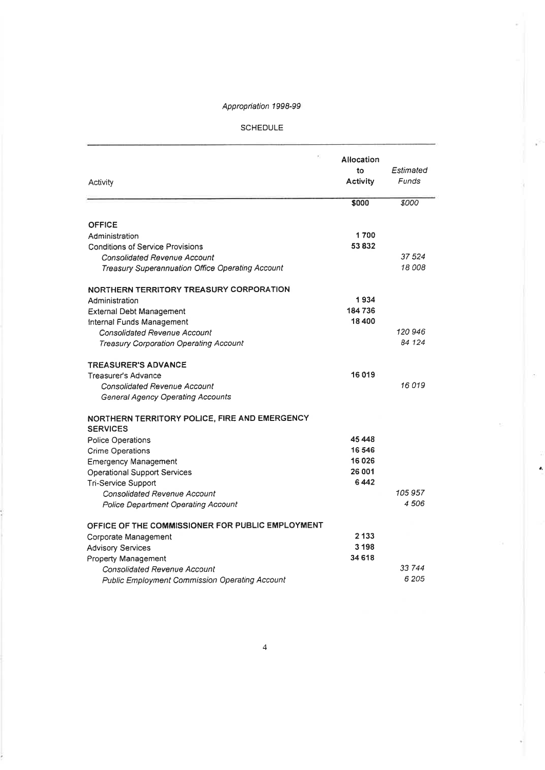#### SCHEDULE

ý,

 $\pmb{\theta}_t$ 

| Activity                                                         | Allocation<br>to<br>Activity | Estimated<br>Funds |
|------------------------------------------------------------------|------------------------------|--------------------|
|                                                                  | \$000                        | \$000              |
| OFFICE                                                           |                              |                    |
| Administration                                                   | 1700                         |                    |
| <b>Conditions of Service Provisions</b>                          | 53832                        |                    |
| Consolidated Revenue Account                                     |                              | 37 524             |
| Treasury Superannuation Office Operating Account                 |                              | 18 008             |
|                                                                  |                              |                    |
| NORTHERN TERRITORY TREASURY CORPORATION                          |                              |                    |
| Administration                                                   | 1934                         |                    |
| External Debt Management                                         | 184736                       |                    |
| Internal Funds Management                                        | 18 400                       |                    |
| Consolidated Revenue Account                                     |                              | 120 946            |
| Treasury Corporation Operating Account                           |                              | 84 124             |
| <b>TREASURER'S ADVANCE</b>                                       |                              |                    |
| <b>Treasurer's Advance</b>                                       | 16019                        |                    |
| Consolidated Revenue Account                                     |                              | 16019              |
| <b>General Agency Operating Accounts</b>                         |                              |                    |
|                                                                  |                              |                    |
| NORTHERN TERRITORY POLICE, FIRE AND EMERGENCY<br><b>SERVICES</b> |                              |                    |
| Police Operations                                                | 45 448                       |                    |
| <b>Crime Operations</b>                                          | 16 546                       |                    |
| <b>Emergency Management</b>                                      | 16 0 26                      |                    |
| Operational Support Services                                     | 26 001                       |                    |
| Tri-Service Support                                              | 6442                         |                    |
| Consolidated Revenue Account                                     |                              | 105 957            |
| <b>Police Department Operating Account</b>                       |                              | 4506               |
|                                                                  |                              |                    |
| OFFICE OF THE COMMISSIONER FOR PUBLIC EMPLOYMENT                 | 2 133                        |                    |
| Corporate Management                                             | 3 1 9 8                      |                    |
| <b>Advisory Services</b><br>Property Management                  | 34 618                       |                    |
| <b>Consolidated Revenue Account</b>                              |                              | 33 744             |
| <b>Public Employment Commission Operating Account</b>            |                              | 6 205              |
|                                                                  |                              |                    |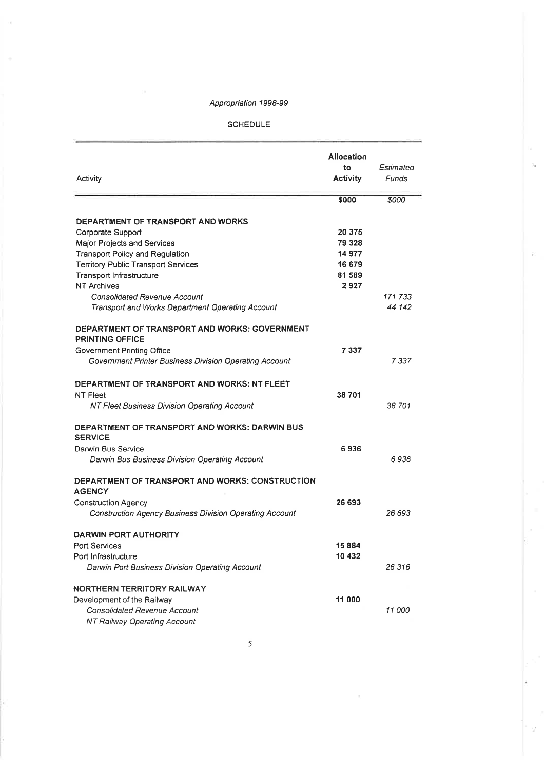#### SCHEDULE

| Activity                                                         | <b>Allocation</b><br>to<br><b>Activity</b> | Estimated<br>Funds |
|------------------------------------------------------------------|--------------------------------------------|--------------------|
|                                                                  | \$000                                      | \$000              |
| DEPARTMENT OF TRANSPORT AND WORKS                                |                                            |                    |
| Corporate Support                                                | 20 375                                     |                    |
| Major Projects and Services                                      | 79 328                                     |                    |
| <b>Transport Policy and Regulation</b>                           | 14 977                                     |                    |
| <b>Territory Public Transport Services</b>                       | 16 679                                     |                    |
| Transport Infrastructure                                         | 81 589                                     |                    |
| <b>NT Archives</b>                                               | 2927                                       |                    |
| <b>Consolidated Revenue Account</b>                              |                                            | 171 733            |
| Transport and Works Department Operating Account                 |                                            | 44 142             |
| DEPARTMENT OF TRANSPORT AND WORKS: GOVERNMENT<br>PRINTING OFFICE |                                            |                    |
| Government Printing Office                                       | 7337                                       |                    |
| Government Printer Business Division Operating Account           |                                            | 7 337              |
| DEPARTMENT OF TRANSPORT AND WORKS: NT FLEET<br><b>NT Fleet</b>   | 38 701                                     |                    |
| NT Fleet Business Division Operating Account                     |                                            | 38 701             |
| DEPARTMENT OF TRANSPORT AND WORKS: DARWIN BUS<br><b>SERVICE</b>  |                                            |                    |
| Darwin Bus Service                                               | 6936                                       |                    |
| Darwin Bus Business Division Operating Account                   |                                            | 6936               |
| DEPARTMENT OF TRANSPORT AND WORKS: CONSTRUCTION<br><b>AGENCY</b> |                                            |                    |
| <b>Construction Agency</b>                                       | 26 693                                     |                    |
| <b>Construction Agency Business Division Operating Account</b>   |                                            | 26 693             |
| <b>DARWIN PORT AUTHORITY</b>                                     |                                            |                    |
| <b>Port Services</b>                                             | 15884                                      |                    |
| Port Infrastructure                                              | 10 432                                     |                    |
| Darwin Port Business Division Operating Account                  |                                            | 26 316             |
| NORTHERN TERRITORY RAILWAY                                       |                                            |                    |
| Development of the Railway                                       | 11 000                                     |                    |
| Consolidated Revenue Account                                     |                                            | 11 000             |
| NT Railway Operating Account                                     |                                            |                    |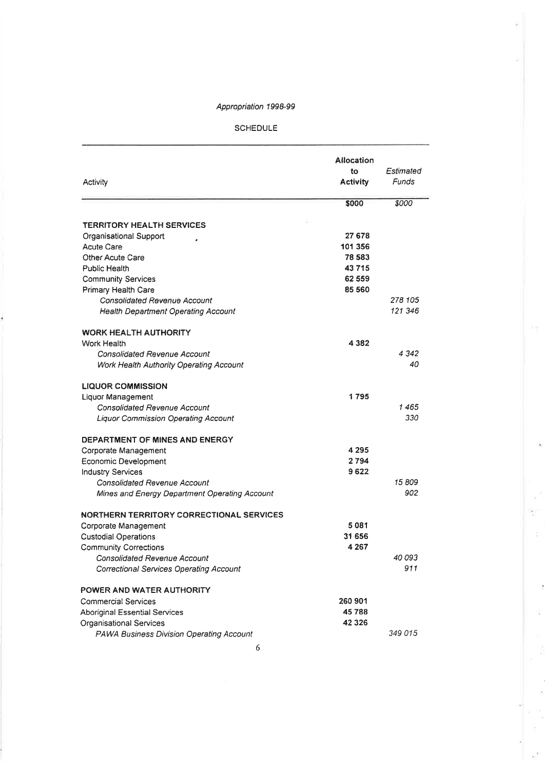#### **SCHEDULE**

| Activity                                        | <b>Allocation</b><br>to<br>Activity | Estimated<br>Funds |
|-------------------------------------------------|-------------------------------------|--------------------|
|                                                 | \$000                               | \$000              |
| <b>TERRITORY HEALTH SERVICES</b>                |                                     |                    |
| Organisational Support                          | 27 678                              |                    |
| <b>Acute Care</b>                               | 101 356                             |                    |
| Other Acute Care                                | 78 583                              |                    |
| Public Health                                   | 43715                               |                    |
| <b>Community Services</b>                       | 62 559                              |                    |
| Primary Health Care                             | 85 560                              |                    |
| Consolidated Revenue Account                    |                                     | 278 105            |
| <b>Health Department Operating Account</b>      |                                     | 121 346            |
| <b>WORK HEALTH AUTHORITY</b>                    |                                     |                    |
| Work Health                                     | 4 3 8 2                             |                    |
| <b>Consolidated Revenue Account</b>             |                                     | 4342               |
| Work Health Authority Operating Account         |                                     | 40                 |
| <b>LIQUOR COMMISSION</b>                        |                                     |                    |
| Liquor Management                               | 1795                                |                    |
| <b>Consolidated Revenue Account</b>             |                                     | 1465               |
| <b>Liquor Commission Operating Account</b>      |                                     | 330                |
| DEPARTMENT OF MINES AND ENERGY                  |                                     |                    |
| Corporate Management                            | 4 2 9 5                             |                    |
| Economic Development                            | 2794                                |                    |
| <b>Industry Services</b>                        | 9622                                |                    |
| <b>Consolidated Revenue Account</b>             |                                     | 15809              |
| Mines and Energy Department Operating Account   |                                     | 902                |
| <b>NORTHERN TERRITORY CORRECTIONAL SERVICES</b> |                                     |                    |
| Corporate Management                            | 5081                                |                    |
| <b>Custodial Operations</b>                     | 31 656                              |                    |
| <b>Community Corrections</b>                    | 4 2 6 7                             |                    |
| Consolidated Revenue Account                    |                                     | 40093              |
| Correctional Services Operating Account         |                                     | 911                |
| POWER AND WATER AUTHORITY                       |                                     |                    |
| Commercial Services                             | 260 901                             |                    |
| Aboriginal Essential Services                   | 45788                               |                    |
| Organisational Services                         | 42 3 26                             |                    |
| <b>PAWA Business Division Operating Account</b> |                                     | 349 015            |

 $\overline{1}$ 

÷ t.

i,

Q.

 $\bar{z}$ 

 $e^{\hat{N}}$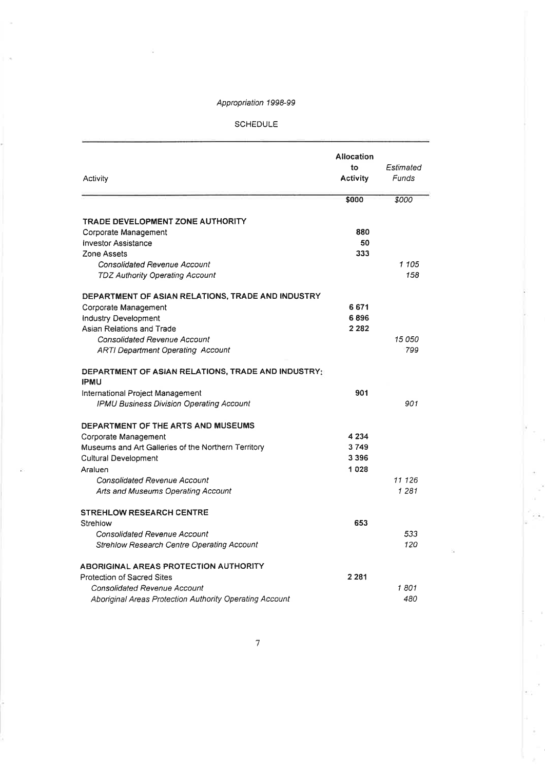SCHEDULE

| Activity                                                          | <b>Allocation</b><br>to<br>Activity | Estimated<br>Funds |
|-------------------------------------------------------------------|-------------------------------------|--------------------|
|                                                                   | \$000                               | \$000              |
| TRADE DEVELOPMENT ZONE AUTHORITY                                  |                                     |                    |
| Corporate Management                                              | 880                                 |                    |
| <b>Investor Assistance</b>                                        | 50                                  |                    |
| Zone Assets                                                       | 333                                 |                    |
| <b>Consolidated Revenue Account</b>                               |                                     | 1 105              |
| <b>TDZ Authority Operating Account</b>                            |                                     | 158                |
| DEPARTMENT OF ASIAN RELATIONS, TRADE AND INDUSTRY                 |                                     |                    |
| Corporate Management                                              | 6671                                |                    |
| Industry Development                                              | 6896                                |                    |
| Asian Relations and Trade                                         | 2 2 8 2                             |                    |
| <b>Consolidated Revenue Account</b>                               |                                     | 15 050             |
| <b>ARTI Department Operating Account</b>                          |                                     | 799                |
| DEPARTMENT OF ASIAN RELATIONS, TRADE AND INDUSTRY:<br><b>IPMU</b> |                                     |                    |
| International Project Management                                  | 901                                 |                    |
| IPMU Business Division Operating Account                          |                                     | 901                |
| DEPARTMENT OF THE ARTS AND MUSEUMS                                |                                     |                    |
| Corporate Management                                              | 4 2 3 4                             |                    |
| Museums and Art Galleries of the Northern Territory               | 3749                                |                    |
| <b>Cultural Development</b>                                       | 3 3 9 6                             |                    |
| Araluen                                                           | 1028                                |                    |
| <b>Consolidated Revenue Account</b>                               |                                     | 11 126             |
| Arts and Museums Operating Account                                |                                     | 1 2 8 1            |
| <b>STREHLOW RESEARCH CENTRE</b>                                   |                                     |                    |
| Strehiow                                                          | 653                                 |                    |
| <b>Consolidated Revenue Account</b>                               |                                     | 533                |
| <b>Strehlow Research Centre Operating Account</b>                 |                                     | 120                |
| <b>ABORIGINAL AREAS PROTECTION AUTHORITY</b>                      |                                     |                    |
| Protection of Sacred Sites                                        | 2 2 8 1                             |                    |
| <b>Consolidated Revenue Account</b>                               |                                     | 1801               |
| Aboriginal Areas Protection Authority Operating Account           |                                     | 480                |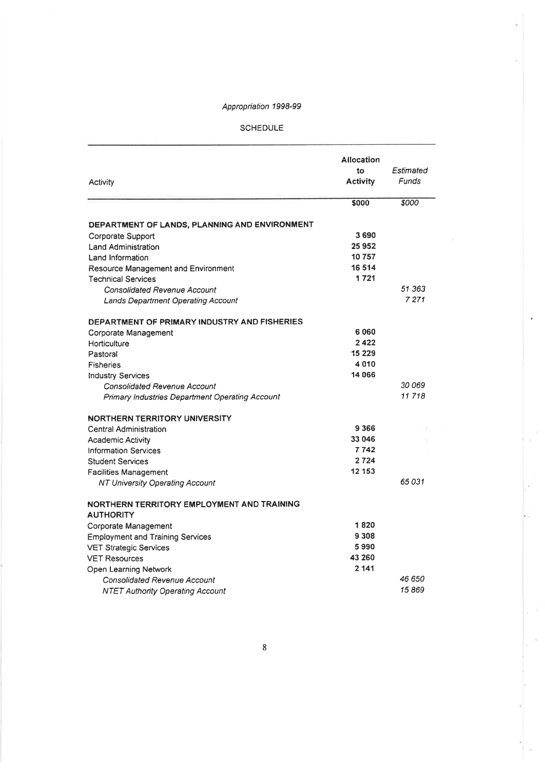#### SCHEDULE

| Activity                                                       | Allocation<br>to<br><b>Activity</b> | Estimated<br>Funds |
|----------------------------------------------------------------|-------------------------------------|--------------------|
|                                                                | \$000                               | <i><b>8000</b></i> |
| DEPARTMENT OF LANDS, PLANNING AND ENVIRONMENT                  |                                     |                    |
| Corporate Support                                              | 3690                                |                    |
| Land Administration                                            | 25952                               |                    |
| Land Information                                               | 10757                               |                    |
| Resource Management and Environment                            | 16 514                              |                    |
| <b>Technical Services</b>                                      | 1721                                |                    |
| <b>Consolidated Revenue Account</b>                            |                                     | 51 363             |
| <b>Lands Department Operating Account</b>                      |                                     | 7 2 7 1            |
|                                                                |                                     |                    |
| DEPARTMENT OF PRIMARY INDUSTRY AND FISHERIES                   |                                     |                    |
| Corporate Management                                           | 6060                                |                    |
| Horticulture                                                   | 2422                                |                    |
| Pastoral                                                       | 15 2 2 9                            |                    |
| <b>Fisheries</b>                                               | 4010                                |                    |
| <b>Industry Services</b>                                       | 14 066                              |                    |
| <b>Consolidated Revenue Account</b>                            |                                     | 30 069<br>11718    |
| Primary Industries Department Operating Account                |                                     |                    |
| <b>NORTHERN TERRITORY UNIVERSITY</b>                           |                                     |                    |
| Central Administration                                         | 9366                                |                    |
| <b>Academic Activity</b>                                       | 33 046                              |                    |
| <b>Information Services</b>                                    | 7742                                |                    |
| <b>Student Services</b>                                        | 2724                                |                    |
| <b>Facilities Management</b>                                   | 12 153                              |                    |
| NT University Operating Account                                |                                     | 65 031             |
| NORTHERN TERRITORY EMPLOYMENT AND TRAINING<br><b>AUTHORITY</b> |                                     |                    |
| Corporate Management                                           | 1820                                |                    |
| <b>Employment and Training Services</b>                        | 9 3 0 8                             |                    |
| <b>VET Strategic Services</b>                                  | 5990                                |                    |
| <b>VET Resources</b>                                           | 43 260                              |                    |
| Open Learning Network                                          | 2 141                               |                    |
| Consolidated Revenue Account                                   |                                     | 46 650             |
| <b>NTET Authority Operating Account</b>                        |                                     | 15869              |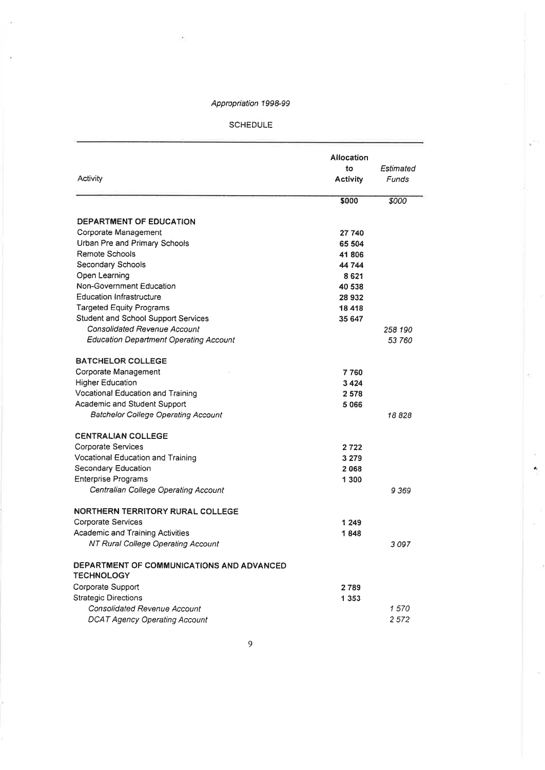#### SCHEDULE

| Activity                                                       | Allocation<br>to<br>Activity | Estimated<br>Funds |
|----------------------------------------------------------------|------------------------------|--------------------|
|                                                                | \$000                        | \$000              |
| DEPARTMENT OF EDUCATION                                        |                              |                    |
| Corporate Management                                           | 27 740                       |                    |
| Urban Pre and Primary Schools                                  | 65 504                       |                    |
| Remote Schools                                                 | 41806                        |                    |
| Secondary Schools                                              | 44744                        |                    |
| Open Learning                                                  | 8621                         |                    |
| Non-Government Education                                       | 40 538                       |                    |
| <b>Education Infrastructure</b>                                | 28 932                       |                    |
| <b>Targeted Equity Programs</b>                                | 18418                        |                    |
| Student and School Support Services                            | 35 647                       |                    |
| Consolidated Revenue Account                                   |                              | 258 190            |
| Education Department Operating Account                         |                              | 53 760             |
| <b>BATCHELOR COLLEGE</b>                                       |                              |                    |
| Corporate Management                                           | 7760                         |                    |
| <b>Higher Education</b>                                        | 3424                         |                    |
| Vocational Education and Training                              | 2578                         |                    |
| Academic and Student Support                                   | 5066                         |                    |
| Batchelor College Operating Account                            |                              | 18 828             |
| <b>CENTRALIAN COLLEGE</b>                                      |                              |                    |
| Corporate Services                                             | 2722                         |                    |
| Vocational Education and Training                              | 3 2 7 9                      |                    |
| Secondary Education                                            | 2068                         |                    |
| Enterprise Programs                                            | 1 300                        |                    |
| Centralian College Operating Account                           |                              | 9369               |
| NORTHERN TERRITORY RURAL COLLEGE                               |                              |                    |
| Corporate Services                                             | 1 249                        |                    |
| Academic and Training Activities                               | 1848                         |                    |
| NT Rural College Operating Account                             |                              | 3097               |
| DEPARTMENT OF COMMUNICATIONS AND ADVANCED<br><b>TECHNOLOGY</b> |                              |                    |
| Corporate Support                                              | 2789                         |                    |
| <b>Strategic Directions</b>                                    | 1 353                        |                    |
| <b>Consolidated Revenue Account</b>                            |                              | 1570               |
| <b>DCAT Agency Operating Account</b>                           |                              | 2572               |

 $\pmb{\delta}_t$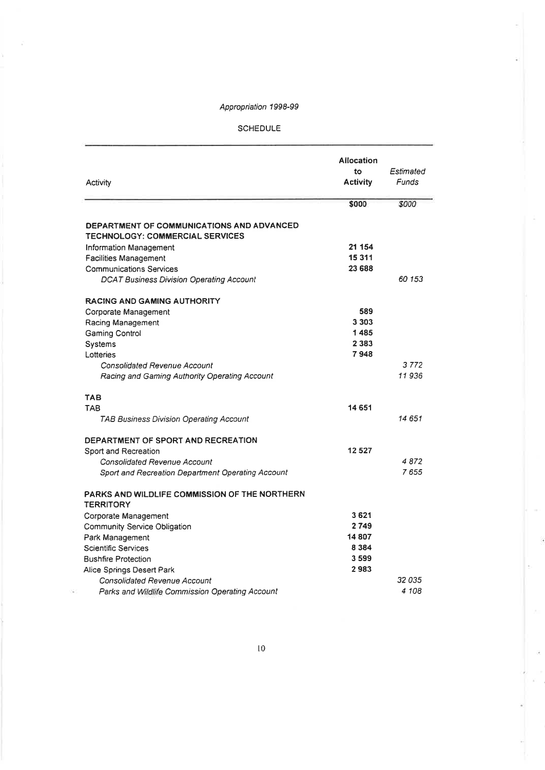#### **SCHEDULE**

| Activity                                                                                   | Allocation<br>to<br><b>Activity</b> | Estimated<br>Funds |
|--------------------------------------------------------------------------------------------|-------------------------------------|--------------------|
|                                                                                            | \$000                               | \$000              |
| <b>DEPARTMENT OF COMMUNICATIONS AND ADVANCED</b><br><b>TECHNOLOGY: COMMERCIAL SERVICES</b> |                                     |                    |
| Information Management                                                                     | 21 154                              |                    |
| <b>Facilities Management</b>                                                               | 15311                               |                    |
| <b>Communications Services</b>                                                             | 23 688                              |                    |
| <b>DCAT Business Division Operating Account</b>                                            |                                     | 60 153             |
| <b>RACING AND GAMING AUTHORITY</b>                                                         |                                     |                    |
| Corporate Management                                                                       | 589                                 |                    |
| Racing Management                                                                          | 3 3 0 3                             |                    |
| Gaming Control                                                                             | 1485                                |                    |
| Systems                                                                                    | 2 3 8 3                             |                    |
| Lotteries                                                                                  | 7948                                |                    |
| Consolidated Revenue Account                                                               |                                     | 3772               |
| Racing and Gaming Authority Operating Account                                              |                                     | 11936              |
| <b>TAB</b>                                                                                 |                                     |                    |
| <b>TAB</b>                                                                                 | 14 651                              |                    |
| <b>TAB Business Division Operating Account</b>                                             |                                     | 14 651             |
| DEPARTMENT OF SPORT AND RECREATION                                                         |                                     |                    |
| Sport and Recreation                                                                       | 12527                               |                    |
| Consolidated Revenue Account                                                               |                                     | 4872               |
| Sport and Recreation Department Operating Account                                          |                                     | 7655               |
| PARKS AND WILDLIFE COMMISSION OF THE NORTHERN<br><b>TERRITORY</b>                          |                                     |                    |
| Corporate Management                                                                       | 3621                                |                    |
| Community Service Obligation                                                               | 2749                                |                    |
| Park Management                                                                            | 14807                               |                    |
| <b>Scientific Services</b>                                                                 | 8 3 8 4                             |                    |
| <b>Bushfire Protection</b>                                                                 | 3599                                |                    |
| Alice Springs Desert Park                                                                  | 2983                                |                    |
| <b>Consolidated Revenue Account</b>                                                        |                                     | 32035              |
| Parks and Wildlife Commission Operating Account                                            |                                     | 4 108              |

ä

ä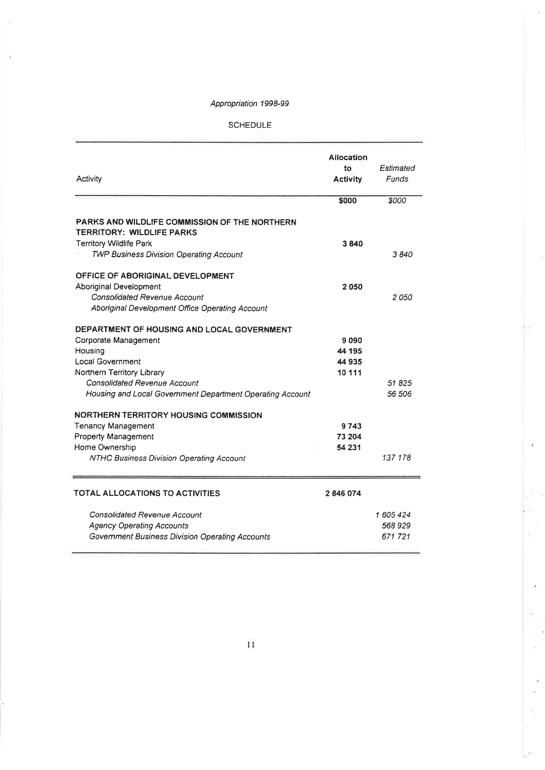#### SCHEDULE

| Activity                                                                          | <b>Allocation</b><br>to<br><b>Activity</b> | Estimated<br>Funds |
|-----------------------------------------------------------------------------------|--------------------------------------------|--------------------|
|                                                                                   | \$000                                      | \$000              |
| PARKS AND WILDLIFE COMMISSION OF THE NORTHERN<br><b>TERRITORY: WILDLIFE PARKS</b> |                                            |                    |
| <b>Territory Wildlife Park</b>                                                    | 3840                                       |                    |
| <b>TWP Business Division Operating Account</b>                                    |                                            | 3840               |
| OFFICE OF ABORIGINAL DEVELOPMENT                                                  |                                            |                    |
| Aboriginal Development                                                            | 2050                                       |                    |
| Consolidated Revenue Account                                                      |                                            | 2 050              |
| Aboriginal Development Office Operating Account                                   |                                            |                    |
| DEPARTMENT OF HOUSING AND LOCAL GOVERNMENT                                        |                                            |                    |
| Corporate Management                                                              | 9090                                       |                    |
| Housing                                                                           | 44 195                                     |                    |
| Local Government                                                                  | 44 935                                     |                    |
| Northern Territory Library                                                        | 10 111                                     |                    |
| Consolidated Revenue Account                                                      |                                            | 51825              |
| Housing and Local Government Department Operating Account                         |                                            | 56 506             |
| NORTHERN TERRITORY HOUSING COMMISSION                                             |                                            |                    |
| <b>Tenancy Management</b>                                                         | 9743                                       |                    |
| Property Management                                                               | 73 204                                     |                    |
| Home Ownership                                                                    | 54 231                                     |                    |
| NTHC Business Division Operating Account                                          |                                            | 137 178            |
| <b>TOTAL ALLOCATIONS TO ACTIVITIES</b>                                            | 2846074                                    |                    |
| Consolidated Revenue Account                                                      |                                            | 1 605 424          |
| <b>Agency Operating Accounts</b>                                                  |                                            | 568 929            |
| Government Business Division Operating Accounts                                   |                                            | 671721             |

a.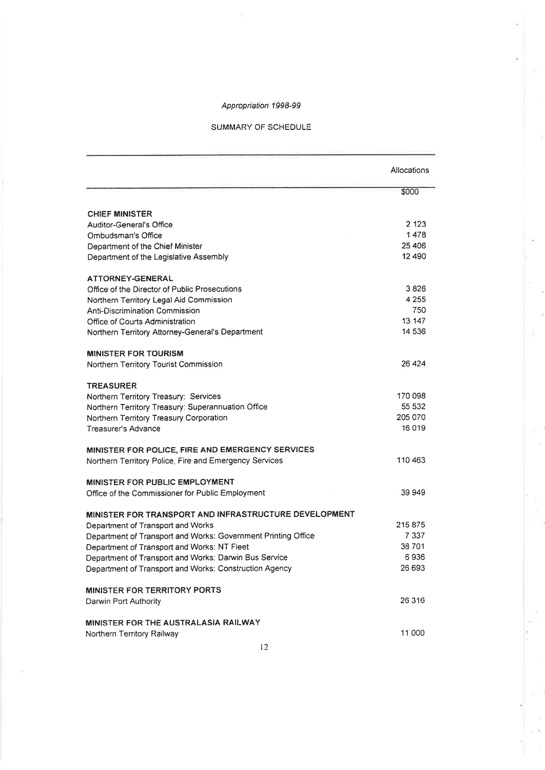#### SUMMARY OF SCHEDULE

|                                                               | Allocations |
|---------------------------------------------------------------|-------------|
|                                                               | \$000       |
| <b>CHIEF MINISTER</b>                                         |             |
| Auditor-General's Office                                      | 2 1 2 3     |
| Ombudsman's Office                                            | 1478        |
| Department of the Chief Minister                              | 25 406      |
| Department of the Legislative Assembly                        | 12 490      |
|                                                               |             |
| ATTORNEY-GENERAL                                              |             |
| Office of the Director of Public Prosecutions                 | 3826        |
| Northern Territory Legal Aid Commission                       | 4 2 5 5     |
| Anti-Discrimination Commission                                | 750         |
| Office of Courts Administration                               | 13 147      |
| Northern Territory Attorney-General's Department              | 14 536      |
| <b>MINISTER FOR TOURISM</b>                                   |             |
| Northern Territory Tourist Commission                         | 26 4 24     |
| <b>TREASURER</b>                                              |             |
| Northern Territory Treasury: Services                         | 170 098     |
| Northern Territory Treasury: Superannuation Office            | 55 532      |
| Northern Territory Treasury Corporation                       | 205 070     |
| Treasurer's Advance                                           | 16 019      |
|                                                               |             |
| MINISTER FOR POLICE, FIRE AND EMERGENCY SERVICES              |             |
| Northern Territory Police, Fire and Emergency Services        | 110463      |
| MINISTER FOR PUBLIC EMPLOYMENT                                |             |
| Office of the Commissioner for Public Employment              | 39 949      |
| MINISTER FOR TRANSPORT AND INFRASTRUCTURE DEVELOPMENT         |             |
| Department of Transport and Works                             | 215875      |
| Department of Transport and Works: Government Printing Office | 7 3 3 7     |
| Department of Transport and Works: NT Fleet                   | 38 701      |
| Department of Transport and Works: Darwin Bus Service         | 6936        |
| Department of Transport and Works: Construction Agency        | 26 693      |
| <b>MINISTER FOR TERRITORY PORTS</b>                           |             |
|                                                               | 26 316      |
| Darwin Port Authority                                         |             |
| <b>MINISTER FOR THE AUSTRALASIA RAILWAY</b>                   |             |
| Northern Territory Railway                                    | 11 000      |

i,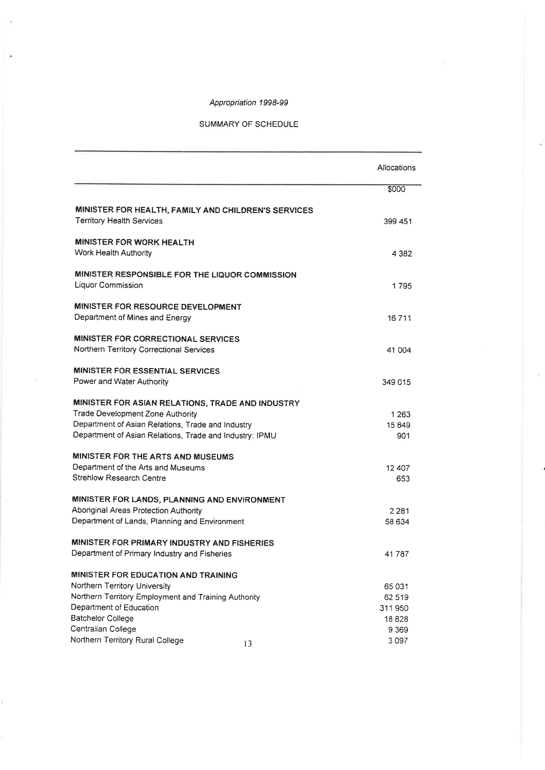#### SUMMARY OF SCHEDULE

|                                                                                                              | Allocations       |
|--------------------------------------------------------------------------------------------------------------|-------------------|
|                                                                                                              | \$000             |
| MINISTER FOR HEALTH, FAMILY AND CHILDREN'S SERVICES<br>Territory Health Services                             | 399 451           |
| <b>MINISTER FOR WORK HEALTH</b><br>Work Health Authority                                                     | 4 3 8 2           |
| MINISTER RESPONSIBLE FOR THE LIQUOR COMMISSION<br>Liquor Commission                                          | 1795              |
| <b>MINISTER FOR RESOURCE DEVELOPMENT</b><br>Department of Mines and Energy                                   | 16711             |
| MINISTER FOR CORRECTIONAL SERVICES<br>Northern Territory Correctional Services                               | 41 004            |
| <b>MINISTER FOR ESSENTIAL SERVICES</b><br>Power and Water Authority                                          | 349 015           |
| MINISTER FOR ASIAN RELATIONS, TRADE AND INDUSTRY<br>Trade Development Zone Authority                         | 1 2 6 3           |
| Department of Asian Relations, Trade and Industry<br>Department of Asian Relations, Trade and Industry: IPMU | 15 849<br>901     |
| MINISTER FOR THE ARTS AND MUSEUMS                                                                            |                   |
| Department of the Arts and Museums<br>Strehlow Research Centre                                               | 12 407<br>653     |
| MINISTER FOR LANDS, PLANNING AND ENVIRONMENT                                                                 |                   |
| Aboriginal Areas Protection Authority<br>Department of Lands, Planning and Environment                       | 2 2 8 1<br>58 634 |
| MINISTER FOR PRIMARY INDUSTRY AND FISHERIES                                                                  |                   |
| Department of Primary Industry and Fisheries                                                                 | 41 787            |
| MINISTER FOR EDUCATION AND TRAINING<br>Northern Territory University                                         | 65031             |
| Northern Territory Employment and Training Authority                                                         | 62 519            |
| Department of Education                                                                                      | 311950            |
| Batchelor College                                                                                            | 18828             |
| Centralian College                                                                                           | 9 3 6 9           |
| Northern Territory Rural College<br>$\overline{13}$                                                          | 3097              |